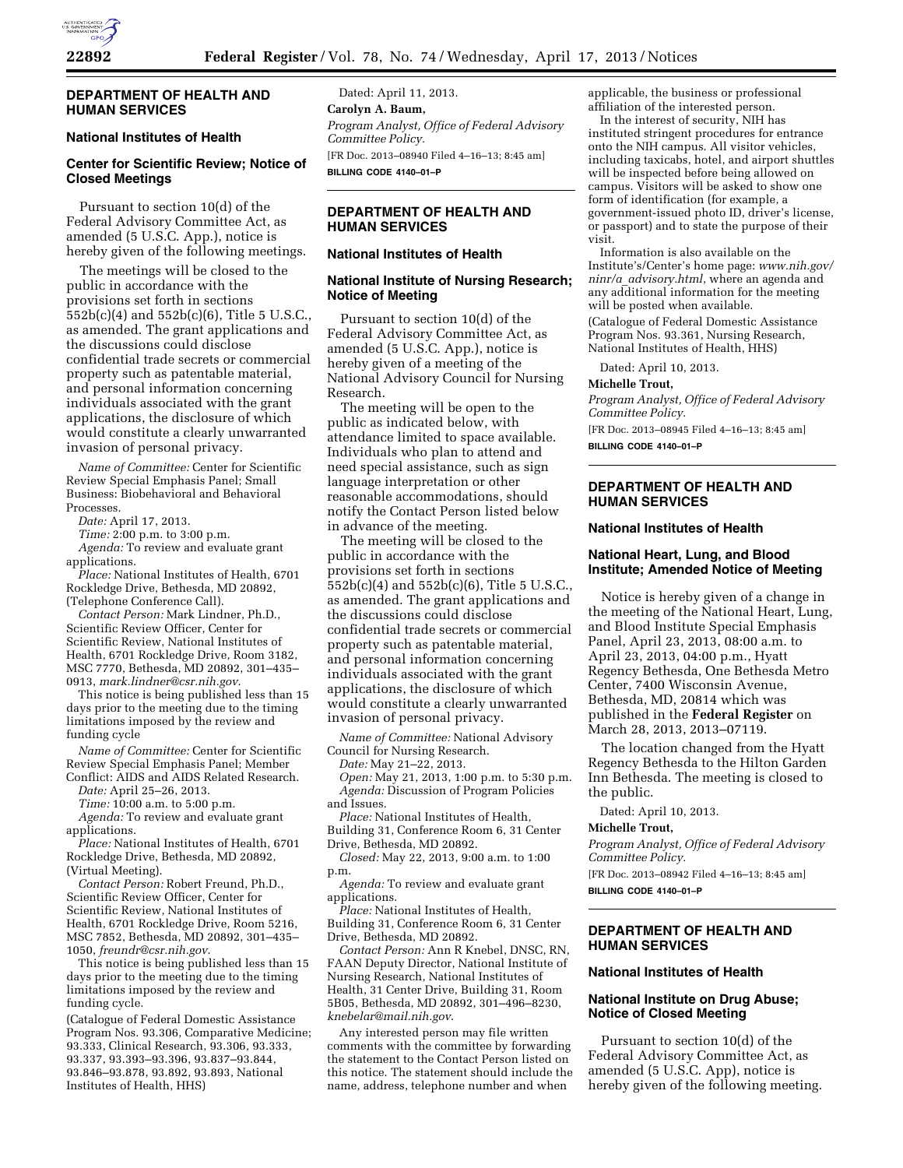

## **DEPARTMENT OF HEALTH AND HUMAN SERVICES**

# **National Institutes of Health**

# **Center for Scientific Review; Notice of Closed Meetings**

Pursuant to section 10(d) of the Federal Advisory Committee Act, as amended (5 U.S.C. App.), notice is hereby given of the following meetings.

The meetings will be closed to the public in accordance with the provisions set forth in sections  $552b(c)(4)$  and  $552b(c)(6)$ , Title 5 U.S.C., as amended. The grant applications and the discussions could disclose confidential trade secrets or commercial property such as patentable material, and personal information concerning individuals associated with the grant applications, the disclosure of which would constitute a clearly unwarranted invasion of personal privacy.

*Name of Committee:* Center for Scientific Review Special Emphasis Panel; Small Business: Biobehavioral and Behavioral Processes.

*Date:* April 17, 2013.

*Time:* 2:00 p.m. to 3:00 p.m.

*Agenda:* To review and evaluate grant applications.

*Place:* National Institutes of Health, 6701 Rockledge Drive, Bethesda, MD 20892, (Telephone Conference Call).

*Contact Person:* Mark Lindner, Ph.D., Scientific Review Officer, Center for Scientific Review, National Institutes of Health, 6701 Rockledge Drive, Room 3182, MSC 7770, Bethesda, MD 20892, 301–435– 0913, *[mark.lindner@csr.nih.gov](mailto:mark.lindner@csr.nih.gov)*.

This notice is being published less than 15 days prior to the meeting due to the timing limitations imposed by the review and funding cycle

*Name of Committee:* Center for Scientific Review Special Emphasis Panel; Member Conflict: AIDS and AIDS Related Research.

*Date:* April 25–26, 2013.

*Time:* 10:00 a.m. to 5:00 p.m.

*Agenda:* To review and evaluate grant applications.

*Place:* National Institutes of Health, 6701 Rockledge Drive, Bethesda, MD 20892, (Virtual Meeting).

*Contact Person:* Robert Freund, Ph.D., Scientific Review Officer, Center for Scientific Review, National Institutes of Health, 6701 Rockledge Drive, Room 5216, MSC 7852, Bethesda, MD 20892, 301–435– 1050, *[freundr@csr.nih.gov](mailto:freundr@csr.nih.gov)*.

This notice is being published less than 15 days prior to the meeting due to the timing limitations imposed by the review and funding cycle.

(Catalogue of Federal Domestic Assistance Program Nos. 93.306, Comparative Medicine; 93.333, Clinical Research, 93.306, 93.333, 93.337, 93.393–93.396, 93.837–93.844, 93.846–93.878, 93.892, 93.893, National Institutes of Health, HHS)

Dated: April 11, 2013. **Carolyn A. Baum,**  *Program Analyst, Office of Federal Advisory Committee Policy.*  [FR Doc. 2013–08940 Filed 4–16–13; 8:45 am] **BILLING CODE 4140–01–P** 

# **DEPARTMENT OF HEALTH AND HUMAN SERVICES**

## **National Institutes of Health**

## **National Institute of Nursing Research; Notice of Meeting**

Pursuant to section 10(d) of the Federal Advisory Committee Act, as amended (5 U.S.C. App.), notice is hereby given of a meeting of the National Advisory Council for Nursing Research.

The meeting will be open to the public as indicated below, with attendance limited to space available. Individuals who plan to attend and need special assistance, such as sign language interpretation or other reasonable accommodations, should notify the Contact Person listed below in advance of the meeting.

The meeting will be closed to the public in accordance with the provisions set forth in sections 552b(c)(4) and 552b(c)(6), Title 5 U.S.C., as amended. The grant applications and the discussions could disclose confidential trade secrets or commercial property such as patentable material, and personal information concerning individuals associated with the grant applications, the disclosure of which would constitute a clearly unwarranted invasion of personal privacy.

*Name of Committee:* National Advisory Council for Nursing Research.

*Date:* May 21–22, 2013.

*Open:* May 21, 2013, 1:00 p.m. to 5:30 p.m. *Agenda:* Discussion of Program Policies and Issues.

*Place:* National Institutes of Health, Building 31, Conference Room 6, 31 Center Drive, Bethesda, MD 20892.

*Closed:* May 22, 2013, 9:00 a.m. to 1:00 p.m.

*Agenda:* To review and evaluate grant applications.

*Place:* National Institutes of Health, Building 31, Conference Room 6, 31 Center Drive, Bethesda, MD 20892.

*Contact Person:* Ann R Knebel, DNSC, RN, FAAN Deputy Director, National Institute of Nursing Research, National Institutes of Health, 31 Center Drive, Building 31, Room 5B05, Bethesda, MD 20892, 301–496–8230, *[knebelar@mail.nih.gov](mailto:knebelar@mail.nih.gov)*.

Any interested person may file written comments with the committee by forwarding the statement to the Contact Person listed on this notice. The statement should include the name, address, telephone number and when

applicable, the business or professional affiliation of the interested person.

In the interest of security, NIH has instituted stringent procedures for entrance onto the NIH campus. All visitor vehicles, including taxicabs, hotel, and airport shuttles will be inspected before being allowed on campus. Visitors will be asked to show one form of identification (for example, a government-issued photo ID, driver's license, or passport) and to state the purpose of their visit.

Information is also available on the Institute's/Center's home page: *[www.nih.gov/](http://www.nih.gov/ninr/a_advisory.html) ninr/a*\_*[advisory.html](http://www.nih.gov/ninr/a_advisory.html)*, where an agenda and any additional information for the meeting will be posted when available.

(Catalogue of Federal Domestic Assistance Program Nos. 93.361, Nursing Research, National Institutes of Health, HHS)

Dated: April 10, 2013.

#### **Michelle Trout,**

*Program Analyst, Office of Federal Advisory Committee Policy.* 

[FR Doc. 2013–08945 Filed 4–16–13; 8:45 am] **BILLING CODE 4140–01–P** 

**DEPARTMENT OF HEALTH AND HUMAN SERVICES** 

### **National Institutes of Health**

### **National Heart, Lung, and Blood Institute; Amended Notice of Meeting**

Notice is hereby given of a change in the meeting of the National Heart, Lung, and Blood Institute Special Emphasis Panel, April 23, 2013, 08:00 a.m. to April 23, 2013, 04:00 p.m., Hyatt Regency Bethesda, One Bethesda Metro Center, 7400 Wisconsin Avenue, Bethesda, MD, 20814 which was published in the **Federal Register** on March 28, 2013, 2013–07119.

The location changed from the Hyatt Regency Bethesda to the Hilton Garden Inn Bethesda. The meeting is closed to the public.

Dated: April 10, 2013.

#### **Michelle Trout,**

*Program Analyst, Office of Federal Advisory Committee Policy.* 

[FR Doc. 2013–08942 Filed 4–16–13; 8:45 am] **BILLING CODE 4140–01–P** 

# **DEPARTMENT OF HEALTH AND HUMAN SERVICES**

### **National Institutes of Health**

## **National Institute on Drug Abuse; Notice of Closed Meeting**

Pursuant to section 10(d) of the Federal Advisory Committee Act, as amended (5 U.S.C. App), notice is hereby given of the following meeting.